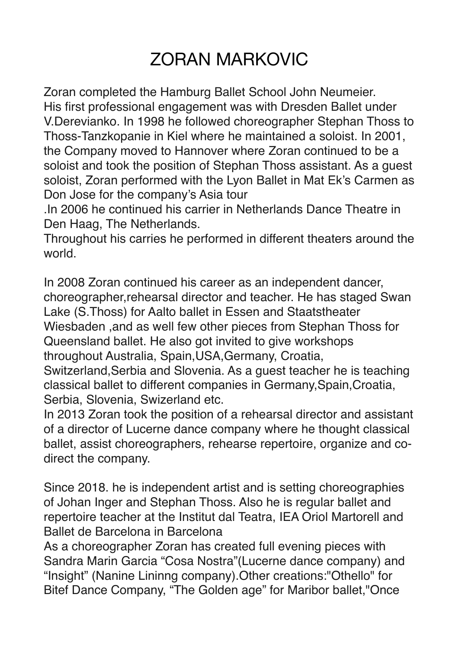## ZORAN MARKOVIC

Zoran completed the Hamburg Ballet School John Neumeier. His first professional engagement was with Dresden Ballet under V.Derevianko. In 1998 he followed choreographer Stephan Thoss to Thoss-Tanzkopanie in Kiel where he maintained a soloist. In 2001, the Company moved to Hannover where Zoran continued to be a soloist and took the position of Stephan Thoss assistant. As a guest soloist, Zoran performed with the Lyon Ballet in Mat Ek's Carmen as Don Jose for the company's Asia tour

.In 2006 he continued his carrier in Netherlands Dance Theatre in Den Haag, The Netherlands.

Throughout his carries he performed in different theaters around the world.

In 2008 Zoran continued his career as an independent dancer, choreographer,rehearsal director and teacher. He has staged Swan Lake (S.Thoss) for Aalto ballet in Essen and Staatstheater Wiesbaden ,and as well few other pieces from Stephan Thoss for Queensland ballet. He also got invited to give workshops throughout Australia, Spain,USA,Germany, Croatia, Switzerland,Serbia and Slovenia. As a guest teacher he is teaching classical ballet to different companies in Germany,Spain,Croatia,

Serbia, Slovenia, Swizerland etc.

In 2013 Zoran took the position of a rehearsal director and assistant of a director of Lucerne dance company where he thought classical ballet, assist choreographers, rehearse repertoire, organize and codirect the company.

Since 2018. he is independent artist and is setting choreographies of Johan Inger and Stephan Thoss. Also he is regular ballet and repertoire teacher at the Institut dal Teatra, IEA Oriol Martorell and Ballet de Barcelona in Barcelona

As a choreographer Zoran has created full evening pieces with Sandra Marin Garcia "Cosa Nostra"(Lucerne dance company) and "Insight" (Nanine Lininng company).Other creations:"Othello" for Bitef Dance Company, "The Golden age" for Maribor ballet,"Once